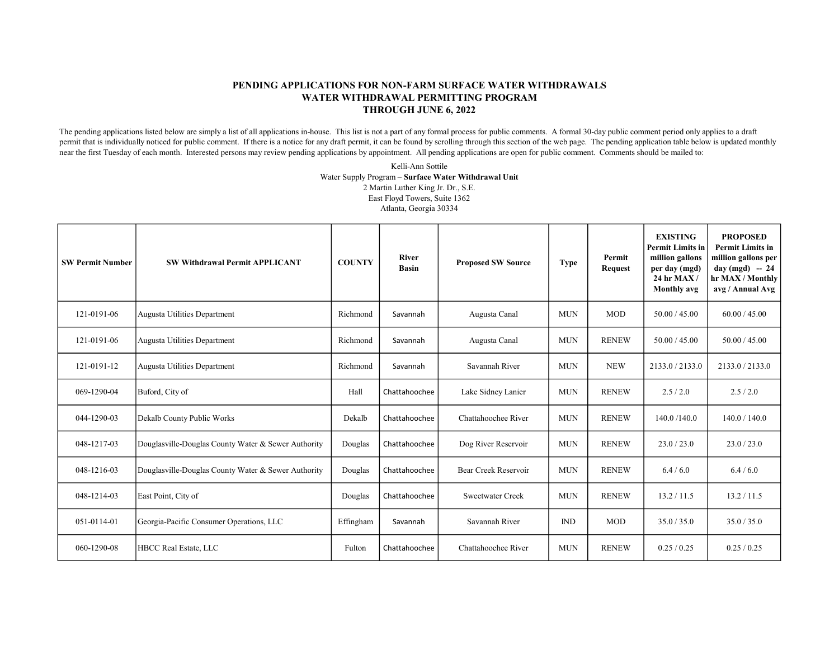## PENDING APPLICATIONS FOR NON-FARM SURFACE WATER WITHDRAWALS WATER WITHDRAWAL PERMITTING PROGRAM THROUGH JUNE 6, 2022

The pending applications listed below are simply a list of all applications in-house. This list is not a part of any formal process for public comments. A formal 30-day public comment period only applies to a draft permit that is individually noticed for public comment. If there is a notice for any draft permit, it can be found by scrolling through this section of the web page. The pending application table below is updated monthly near the first Tuesday of each month. Interested persons may review pending applications by appointment. All pending applications are open for public comment. Comments should be mailed to:

> Kelli-Ann Sottile Water Supply Program – Surface Water Withdrawal Unit 2 Martin Luther King Jr. Dr., S.E. East Floyd Towers, Suite 1362 Atlanta, Georgia 30334

| <b>SW Permit Number</b> | <b>SW Withdrawal Permit APPLICANT</b>               | <b>COUNTY</b> | <b>River</b><br><b>Basin</b> | <b>Proposed SW Source</b> | <b>Type</b> | Permit<br><b>Request</b> | <b>EXISTING</b><br><b>Permit Limits in</b><br>million gallons<br>per day (mgd)<br>24 hr MAX/<br>Monthly avg | <b>PROPOSED</b><br><b>Permit Limits in</b><br>million gallons per<br>day $(mgd)$ - 24<br>hr MAX / Monthly<br>avg / Annual Avg |
|-------------------------|-----------------------------------------------------|---------------|------------------------------|---------------------------|-------------|--------------------------|-------------------------------------------------------------------------------------------------------------|-------------------------------------------------------------------------------------------------------------------------------|
| 121-0191-06             | Augusta Utilities Department                        | Richmond      | Savannah                     | Augusta Canal             | <b>MUN</b>  | <b>MOD</b>               | 50.00 / 45.00                                                                                               | 60.00 / 45.00                                                                                                                 |
| 121-0191-06             | Augusta Utilities Department                        | Richmond      | Savannah                     | Augusta Canal             | <b>MUN</b>  | <b>RENEW</b>             | 50.00 / 45.00                                                                                               | 50.00 / 45.00                                                                                                                 |
| 121-0191-12             | Augusta Utilities Department                        | Richmond      | Savannah                     | Savannah River            | <b>MUN</b>  | <b>NEW</b>               | 2133.0 / 2133.0                                                                                             | 2133.0/2133.0                                                                                                                 |
| 069-1290-04             | Buford, City of                                     | Hall          | Chattahoochee                | Lake Sidney Lanier        | <b>MUN</b>  | <b>RENEW</b>             | 2.5/2.0                                                                                                     | 2.5 / 2.0                                                                                                                     |
| 044-1290-03             | Dekalb County Public Works                          | Dekalb        | Chattahoochee                | Chattahoochee River       | <b>MUN</b>  | <b>RENEW</b>             | 140.0/140.0                                                                                                 | 140.0 / 140.0                                                                                                                 |
| 048-1217-03             | Douglasville-Douglas County Water & Sewer Authority | Douglas       | Chattahoochee                | Dog River Reservoir       | <b>MUN</b>  | <b>RENEW</b>             | 23.0 / 23.0                                                                                                 | 23.0 / 23.0                                                                                                                   |
| 048-1216-03             | Douglasville-Douglas County Water & Sewer Authority | Douglas       | Chattahoochee                | Bear Creek Reservoir      | <b>MUN</b>  | <b>RENEW</b>             | 6.4/6.0                                                                                                     | 6.4/6.0                                                                                                                       |
| 048-1214-03             | East Point, City of                                 | Douglas       | Chattahoochee                | <b>Sweetwater Creek</b>   | <b>MUN</b>  | <b>RENEW</b>             | 13.2 / 11.5                                                                                                 | 13.2 / 11.5                                                                                                                   |
| 051-0114-01             | Georgia-Pacific Consumer Operations, LLC            | Effingham     | Savannah                     | Savannah River            | <b>IND</b>  | <b>MOD</b>               | 35.0 / 35.0                                                                                                 | 35.0 / 35.0                                                                                                                   |
| 060-1290-08             | HBCC Real Estate, LLC                               | Fulton        | Chattahoochee                | Chattahoochee River       | <b>MUN</b>  | <b>RENEW</b>             | 0.25 / 0.25                                                                                                 | 0.25 / 0.25                                                                                                                   |